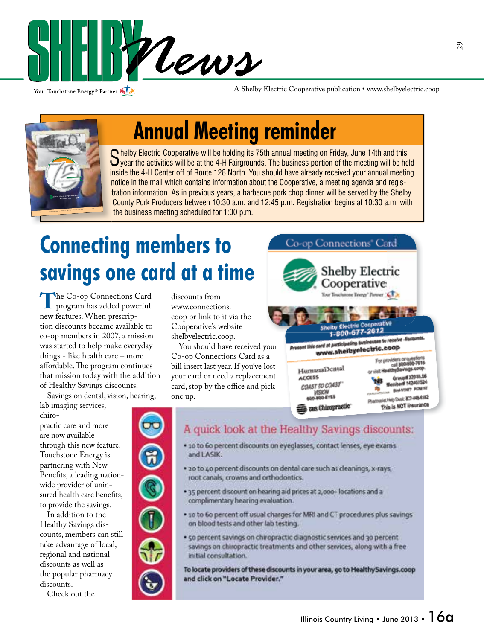

Your Touchstone Energy® Partner

A Shelby Electric Cooperative publication • www.shelbyelectric.coop



## **Annual Meeting reminder**

Shelby Electric Cooperative will be holding its 75th annual meeting on Friday, June 14th and this year the activities will be at the 4-H Fairgrounds. The business portion of the meeting will be held inside the 4-H Center off of Route 128 North. You should have already received your annual meeting notice in the mail which contains information about the Cooperative, a meeting agenda and registration information. As in previous years, a barbecue pork chop dinner will be served by the Shelby County Pork Producers between 10:30 a.m. and 12:45 p.m. Registration begins at 10:30 a.m. with the business meeting scheduled for 1:00 p.m.

## **Connecting members to savings one card at a time**

**T**he Co-op Connections Card program has added powerful new features. When prescription discounts became available to co-op members in 2007, a mission was started to help make everyday things - like health care – more affordable. The program continues that mission today with the addition of Healthy Savings discounts.

Savings on dental, vision, hearing,

lab imaging services, chiro-

practic care and more are now available through this new feature. Touchstone Energy is partnering with New Benefits, a leading nationwide provider of uninsured health care benefits, to provide the savings.

 In addition to the Healthy Savings discounts, members can still take advantage of local, regional and national discounts as well as the popular pharmacy discounts.

Check out the

discounts from www.connections. coop or link to it via the Cooperative's website shelbyelectric.coop.

You should have received your Co-op Connections Card as a bill insert last year. If you've lost your card or need a replacement card, stop by the office and pick one up.



### A quick look at the Healthy Savings discounts:

- · 10 to 60 percent discounts on eyeglasses, contact lenses, eye exams and LASIK.
- . 20 to 40 percent discounts on dental care such as cleanings, x-rays, root canals, crowns and orthodontics.
- . 35 percent discount on hearing aid prices at 2,000- locations and a complimentary hearing evaluation.
- . so to 6o percent off usual charges for MRI and CT procedures plus savings on blood tests and other lab testing.
- . 50 percent savings on chiropractic diagnostic services and 30 percent savings on chiropractic treatments and other services, along with a free initial consultation.

To locate providers of these discounts in your area, go to Healthy Savings.coop and click on "Locate Provider."

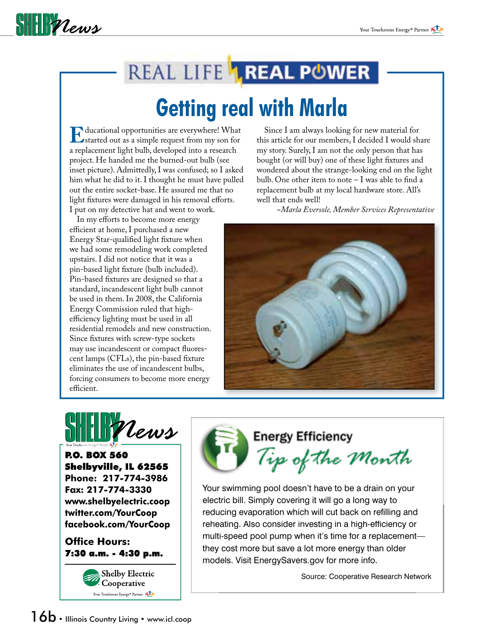

## REAL LIFE **1 REAL POWER**

## **Getting real with Marla**

**E**ducational opportunities are everywhere! What<br>a replacement light bulh developed into a research a replacement light bulb, developed into a research project. He handed me the burned-out bulb (see inset picture). Admittedly, I was confused; so I asked him what he did to it. I thought he must have pulled out the entire socket-base. He assured me that no light fixtures were damaged in his removal efforts. I put on my detective hat and went to work.

In my efforts to become more energy efficient at home, I purchased a new Energy Star-qualified light fixture when we had some remodeling work completed upstairs. I did not notice that it was a pin-based light fixture (bulb included). Pin-based fixtures are designed so that a standard, incandescent light bulb cannot be used in them. In 2008, the California Energy Commission ruled that highefficiency lighting must be used in all residential remodels and new construction. Since fixtures with screw-type sockets may use incandescent or compact fluorescent lamps (CFLs), the pin-based fixture eliminates the use of incandescent bulbs, forcing consumers to become more energy efficient.

 Since I am always looking for new material for this article for our members, I decided I would share my story. Surely, I am not the only person that has bought (or will buy) one of these light fixtures and wondered about the strange-looking end on the light bulb. One other item to note  $-1$  was able to find a replacement bulb at my local hardware store. All's well that ends well!

*~Marla Eversole, Member Services Representative*



**THE Plews** 

P.O. BOX 560 Shelbyville, IL 62565 **Phone: 217-774-3986 Fax: 217-774-3330 www.shelbyelectric.coop twitter.com/YourCoop facebook.com/YourCoop**

**Office Hours:** 7:30 a.m. - 4:30 p.m.



**Energy Efficiency** Tip of the Month

Your swimming pool doesn't have to be a drain on your electric bill. Simply covering it will go a long way to reducing evaporation which will cut back on refilling and reheating. Also consider investing in a high-efficiency or multi-speed pool pump when it's time for a replacement they cost more but save a lot more energy than older models. Visit EnergySavers.gov for more info.

Source: Cooperative Research Network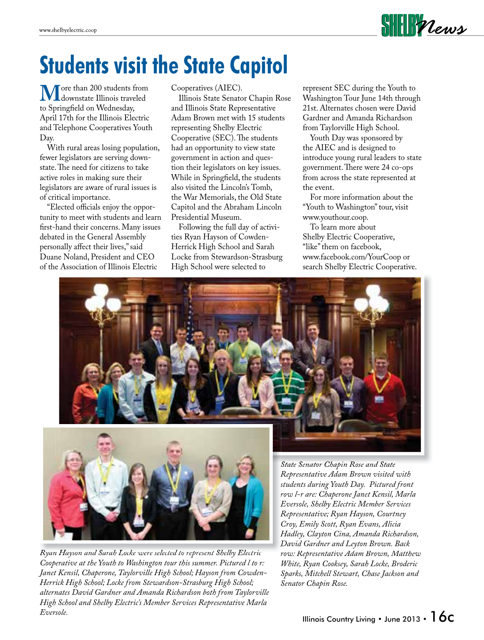# **Students visit the State Capitol**

**M** ore than 200 students from<br>to Springfield on Wednesday to Springfield on Wednesday, April 17th for the Illinois Electric and Telephone Cooperatives Youth Day.

 With rural areas losing population, fewer legislators are serving downstate. The need for citizens to take active roles in making sure their legislators are aware of rural issues is of critical importance.

"Elected officials enjoy the opportunity to meet with students and learn first-hand their concerns. Many issues debated in the General Assembly personally affect their lives," said Duane Noland, President and CEO of the Association of Illinois Electric

Cooperatives (AIEC).

 Illinois State Senator Chapin Rose and Illinois State Representative Adam Brown met with 15 students representing Shelby Electric Cooperative (SEC). The students had an opportunity to view state government in action and question their legislators on key issues. While in Springfield, the students also visited the Lincoln's Tomb, the War Memorials, the Old State Capitol and the Abraham Lincoln Presidential Museum.

 Following the full day of activities Ryan Hayson of Cowden-Herrick High School and Sarah Locke from Stewardson-Strasburg High School were selected to

 represent SEC during the Youth to Washington Tour June 14th through 21st. Alternates chosen were David Gardner and Amanda Richardson from Taylorville High School.

**SHEIR Vews** 

Youth Day was sponsored by the AIEC and is designed to introduce young rural leaders to state government. There were 24 co-ops from across the state represented at the event.

 For more information about the "Youth to Washington" tour, visit www.youthour.coop.

 To learn more about Shelby Electric Cooperative, "like" them on facebook, www.facebook.com/YourCoop or search Shelby Electric Cooperative.





*Ryan Hayson and Sarah Locke were selected to represent Shelby Electric Cooperative at the Youth to Washington tour this summer. Pictured l to r: Janet Kensil, Chaperone, Taylorville High School; Hayson from Cowden-Herrick High School; Locke from Stewardson-Strasburg High School; alternates David Gardner and Amanda Richardson both from Taylorville High School and Shelby Electric's Member Services Representative Marla Eversole.*

*State Senator Chapin Rose and State Representative Adam Brown visited with students during Youth Day. Pictured front row l-r are: Chaperone Janet Kensil, Marla Eversole, Shelby Electric Member Services Representative; Ryan Hayson, Courtney Croy, Emily Scott, Ryan Evans, Alicia Hadley, Clayton Cina, Amanda Richardson, David Gardner and Leyton Brown. Back row: Representative Adam Brown, Matthew White, Ryan Cooksey, Sarah Locke, Broderic Sparks, Mitchell Stewart, Chase Jackson and Senator Chapin Rose.*